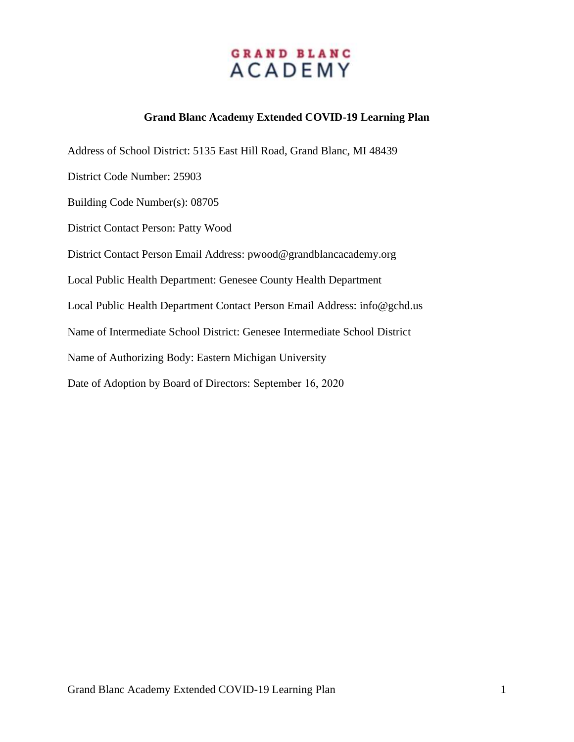### **Grand Blanc Academy Extended COVID-19 Learning Plan**

Address of School District: 5135 East Hill Road, Grand Blanc, MI 48439 District Code Number: 25903 Building Code Number(s): 08705 District Contact Person: Patty Wood District Contact Person Email Address: pwood@grandblancacademy.org Local Public Health Department: Genesee County Health Department Local Public Health Department Contact Person Email Address: info@gchd.us Name of Intermediate School District: Genesee Intermediate School District Name of Authorizing Body: Eastern Michigan University Date of Adoption by Board of Directors: September 16, 2020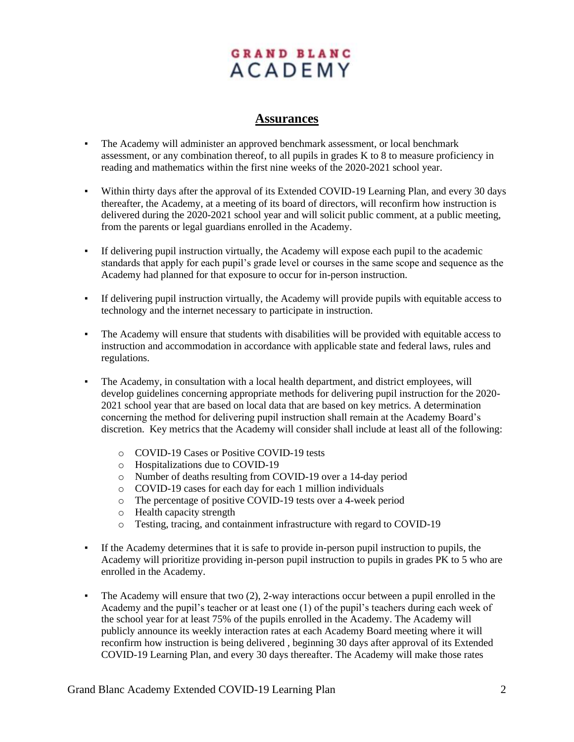### **Assurances**

- The Academy will administer an approved benchmark assessment, or local benchmark assessment, or any combination thereof, to all pupils in grades K to 8 to measure proficiency in reading and mathematics within the first nine weeks of the 2020-2021 school year.
- Within thirty days after the approval of its Extended COVID-19 Learning Plan, and every 30 days thereafter, the Academy, at a meeting of its board of directors, will reconfirm how instruction is delivered during the 2020-2021 school year and will solicit public comment, at a public meeting, from the parents or legal guardians enrolled in the Academy.
- If delivering pupil instruction virtually, the Academy will expose each pupil to the academic standards that apply for each pupil's grade level or courses in the same scope and sequence as the Academy had planned for that exposure to occur for in-person instruction.
- If delivering pupil instruction virtually, the Academy will provide pupils with equitable access to technology and the internet necessary to participate in instruction.
- The Academy will ensure that students with disabilities will be provided with equitable access to instruction and accommodation in accordance with applicable state and federal laws, rules and regulations.
- The Academy, in consultation with a local health department, and district employees, will develop guidelines concerning appropriate methods for delivering pupil instruction for the 2020- 2021 school year that are based on local data that are based on key metrics. A determination concerning the method for delivering pupil instruction shall remain at the Academy Board's discretion. Key metrics that the Academy will consider shall include at least all of the following:
	- o COVID-19 Cases or Positive COVID-19 tests
	- o Hospitalizations due to COVID-19
	- o Number of deaths resulting from COVID-19 over a 14-day period
	- o COVID-19 cases for each day for each 1 million individuals
	- o The percentage of positive COVID-19 tests over a 4-week period
	- o Health capacity strength
	- o Testing, tracing, and containment infrastructure with regard to COVID-19
- If the Academy determines that it is safe to provide in-person pupil instruction to pupils, the Academy will prioritize providing in-person pupil instruction to pupils in grades PK to 5 who are enrolled in the Academy.
- The Academy will ensure that two (2), 2-way interactions occur between a pupil enrolled in the Academy and the pupil's teacher or at least one (1) of the pupil's teachers during each week of the school year for at least 75% of the pupils enrolled in the Academy. The Academy will publicly announce its weekly interaction rates at each Academy Board meeting where it will reconfirm how instruction is being delivered , beginning 30 days after approval of its Extended COVID-19 Learning Plan, and every 30 days thereafter. The Academy will make those rates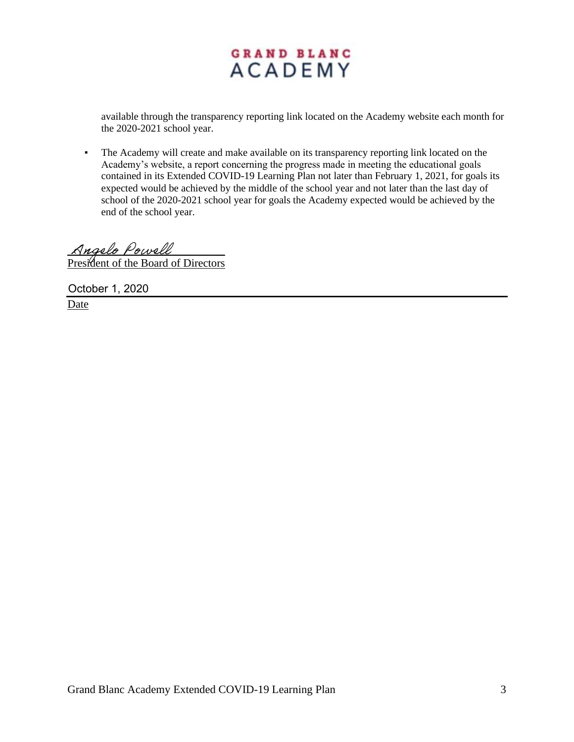available through the transparency reporting link located on the Academy website each month for the 2020-2021 school year.

▪ The Academy will create and make available on its transparency reporting link located on the Academy's website, a report concerning the progress made in meeting the educational goals contained in its Extended COVID-19 Learning Plan not later than February 1, 2021, for goals its expected would be achieved by the middle of the school year and not later than the last day of school of the 2020-2021 school year for goals the Academy expected would be achieved by the end of the school year.

Angelo Powell President of the Board of Directors

October 1, 2020

Date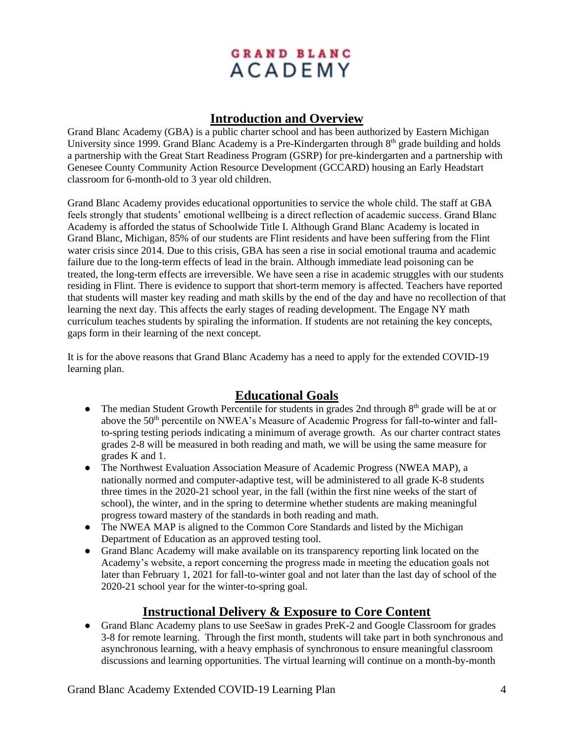## **Introduction and Overview**

Grand Blanc Academy (GBA) is a public charter school and has been authorized by Eastern Michigan University since 1999. Grand Blanc Academy is a Pre-Kindergarten through 8<sup>th</sup> grade building and holds a partnership with the Great Start Readiness Program (GSRP) for pre-kindergarten and a partnership with Genesee County Community Action Resource Development (GCCARD) housing an Early Headstart classroom for 6-month-old to 3 year old children.

Grand Blanc Academy provides educational opportunities to service the whole child. The staff at GBA feels strongly that students' emotional wellbeing is a direct reflection of academic success. Grand Blanc Academy is afforded the status of Schoolwide Title I. Although Grand Blanc Academy is located in Grand Blanc, Michigan, 85% of our students are Flint residents and have been suffering from the Flint water crisis since 2014. Due to this crisis, GBA has seen a rise in social emotional trauma and academic failure due to the long-term effects of lead in the brain. Although immediate lead poisoning can be treated, the long-term effects are irreversible. We have seen a rise in academic struggles with our students residing in Flint. There is evidence to support that short-term memory is affected. Teachers have reported that students will master key reading and math skills by the end of the day and have no recollection of that learning the next day. This affects the early stages of reading development. The Engage NY math curriculum teaches students by spiraling the information. If students are not retaining the key concepts, gaps form in their learning of the next concept.

It is for the above reasons that Grand Blanc Academy has a need to apply for the extended COVID-19 learning plan.

## **Educational Goals**

- The median Student Growth Percentile for students in grades 2nd through  $8<sup>th</sup>$  grade will be at or above the 50<sup>th</sup> percentile on NWEA's Measure of Academic Progress for fall-to-winter and fallto-spring testing periods indicating a minimum of average growth. As our charter contract states grades 2-8 will be measured in both reading and math, we will be using the same measure for grades K and 1.
- The Northwest Evaluation Association Measure of Academic Progress (NWEA MAP), a nationally normed and computer-adaptive test, will be administered to all grade K-8 students three times in the 2020-21 school year, in the fall (within the first nine weeks of the start of school), the winter, and in the spring to determine whether students are making meaningful progress toward mastery of the standards in both reading and math.
- The NWEA MAP is aligned to the Common Core Standards and listed by the Michigan Department of Education as an approved testing tool.
- Grand Blanc Academy will make available on its transparency reporting link located on the Academy's website, a report concerning the progress made in meeting the education goals not later than February 1, 2021 for fall-to-winter goal and not later than the last day of school of the 2020-21 school year for the winter-to-spring goal.

## **Instructional Delivery & Exposure to Core Content**

● Grand Blanc Academy plans to use SeeSaw in grades PreK-2 and Google Classroom for grades 3-8 for remote learning. Through the first month, students will take part in both synchronous and asynchronous learning, with a heavy emphasis of synchronous to ensure meaningful classroom discussions and learning opportunities. The virtual learning will continue on a month-by-month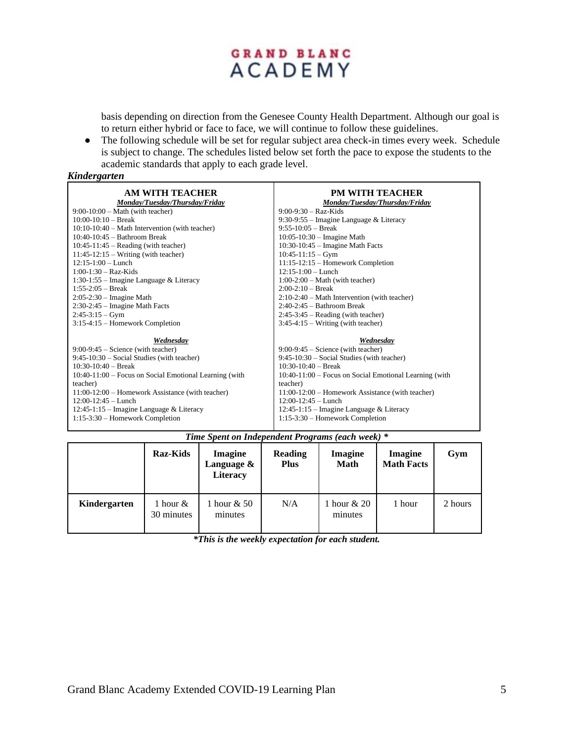basis depending on direction from the Genesee County Health Department. Although our goal is to return either hybrid or face to face, we will continue to follow these guidelines.

• The following schedule will be set for regular subject area check-in times every week. Schedule is subject to change. The schedules listed below set forth the pace to expose the students to the academic standards that apply to each grade level.

#### *Kindergarten*

| AM WITH TEACHER<br>Monday/Tuesday/Thursday/Friday      | <b>PM WITH TEACHER</b><br>Monday/Tuesday/Thursday/Friday |
|--------------------------------------------------------|----------------------------------------------------------|
| $9:00-10:00$ – Math (with teacher)                     | $9:00-9:30 - Raz-Kids$                                   |
| $10:00-10:10$ – Break                                  | $9:30-9:55$ – Imagine Language & Literacy                |
| $10:10-10:40$ – Math Intervention (with teacher)       | $9:55-10:05$ – Break                                     |
| $10:40-10:45$ - Bathroom Break                         | $10:05-10:30$ – Imagine Math                             |
| $10:45-11:45$ – Reading (with teacher)                 | $10:30-10:45$ – Imagine Math Facts                       |
| $11:45-12:15$ – Writing (with teacher)                 | $10:45-11:15 - Gym$                                      |
| $12:15-1:00$ - Lunch                                   | $11:15-12:15$ – Homework Completion                      |
| $1:00-1:30$ – Raz-Kids                                 | $12:15-1:00$ – Lunch                                     |
| 1:30-1:55 – Imagine Language & Literacy                | $1:00-2:00$ – Math (with teacher)                        |
| $1:55-2:05$ – Break                                    | $2:00-2:10$ – Break                                      |
| $2:05-2:30$ – Imagine Math                             | $2:10-2:40$ – Math Intervention (with teacher)           |
| $2:30-2:45$ – Imagine Math Facts                       | $2:40-2:45$ – Bathroom Break                             |
| $2:45-3:15-Gym$                                        | $2:45-3:45$ – Reading (with teacher)                     |
| $3:15-4:15$ – Homework Completion                      | $3:45-4:15$ – Writing (with teacher)                     |
| Wednesday                                              | Wednesdav                                                |
| $9:00-9:45$ – Science (with teacher)                   | $9:00-9:45$ – Science (with teacher)                     |
| $9:45-10:30$ – Social Studies (with teacher)           | $9:45-10:30$ – Social Studies (with teacher)             |
| $10:30-10:40$ – Break                                  | $10:30-10:40$ – Break                                    |
| 10:40-11:00 – Focus on Social Emotional Learning (with | 10:40-11:00 – Focus on Social Emotional Learning (with   |
| teacher)                                               | teacher)                                                 |
| $11:00-12:00$ – Homework Assistance (with teacher)     | 11:00-12:00 – Homework Assistance (with teacher)         |
| $12:00-12:45$ - Lunch                                  | $12:00-12:45$ - Lunch                                    |
| $12:45-1:15$ – Imagine Language & Literacy             | $12:45-1:15$ – Imagine Language & Literacy               |
| $1:15-3:30$ – Homework Completion                      | $1:15-3:30$ – Homework Completion                        |

|  |  | Time Spent on Independent Programs (each week) * |  |  |
|--|--|--------------------------------------------------|--|--|
|  |  |                                                  |  |  |

|              | <b>Raz-Kids</b>        | <b>Imagine</b><br>Language &<br><b>Literacy</b> | <b>Reading</b><br><b>Plus</b> | Imagine<br><b>Math</b> | <b>Imagine</b><br><b>Math Facts</b> | Gym     |
|--------------|------------------------|-------------------------------------------------|-------------------------------|------------------------|-------------------------------------|---------|
| Kindergarten | 1 hour &<br>30 minutes | hour $& 50$<br>minutes                          | N/A                           | 1 hour & 20<br>minutes | 1 hour                              | 2 hours |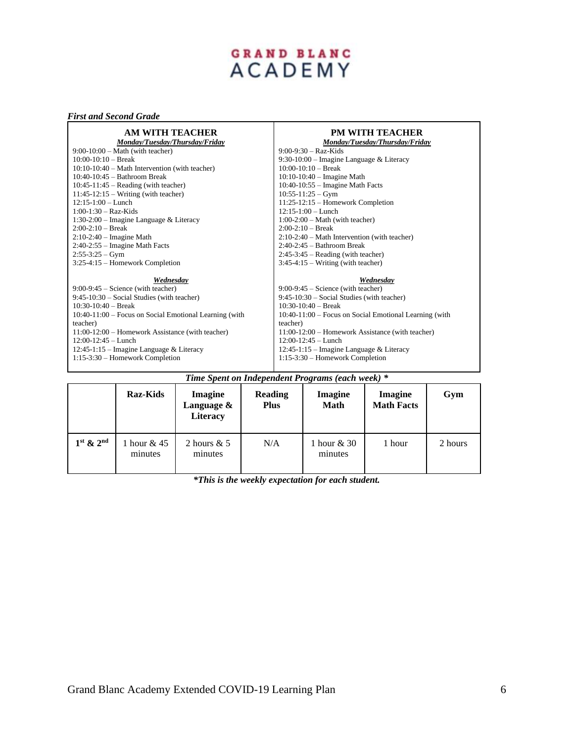# GRAND BLANC<br>ACADEMY

#### *First and Second Grade*

| AM WITH TEACHER<br>Monday/Tuesday/Thursday/Friday      | <b>PM WITH TEACHER</b><br>Monday/Tuesday/Thursday/Friday |
|--------------------------------------------------------|----------------------------------------------------------|
| $9:00-10:00$ – Math (with teacher)                     | $9:00-9:30$ – Raz-Kids                                   |
| $10:00-10:10$ – Break                                  | 9:30-10:00 – Imagine Language & Literacy                 |
| $10:10-10:40$ – Math Intervention (with teacher)       | $10:00-10:10$ – Break                                    |
| $10:40-10:45$ – Bathroom Break                         | $10:10-10:40$ – Imagine Math                             |
| $10:45-11:45$ – Reading (with teacher)                 | $10:40-10:55$ – Imagine Math Facts                       |
| $11:45-12:15$ – Writing (with teacher)                 | $10:55-11:25 - Gym$                                      |
| $12:15-1:00$ - Lunch                                   | $11:25-12:15$ – Homework Completion                      |
| $1:00-1:30$ – Raz-Kids                                 | $12:15-1:00$ - Lunch                                     |
| 1:30-2:00 – Imagine Language & Literacy                | $1:00-2:00$ – Math (with teacher)                        |
| $2:00-2:10$ – Break                                    | $2:00-2:10$ – Break                                      |
| $2:10-2:40$ – Imagine Math                             | $2:10-2:40$ – Math Intervention (with teacher)           |
| $2:40-2:55$ – Imagine Math Facts                       | $2:40-2:45$ - Bathroom Break                             |
| $2:55-3:25-Gym$                                        | $2:45-3:45$ – Reading (with teacher)                     |
| $3:25-4:15$ – Homework Completion                      | $3:45-4:15$ – Writing (with teacher)                     |
| Wednesday                                              | Wednesday                                                |
| $9:00-9:45$ – Science (with teacher)                   | $9:00-9:45$ – Science (with teacher)                     |
| $9:45-10:30$ – Social Studies (with teacher)           | $9:45-10:30$ – Social Studies (with teacher)             |
| $10:30-10:40$ – Break                                  | $10:30-10:40$ – Break                                    |
| 10:40-11:00 - Focus on Social Emotional Learning (with | 10:40-11:00 – Focus on Social Emotional Learning (with   |
| teacher)                                               | teacher)                                                 |
| 11:00-12:00 - Homework Assistance (with teacher)       | 11:00-12:00 – Homework Assistance (with teacher)         |
| $12:00-12:45$ - Lunch                                  | $12:00-12:45$ - Lunch                                    |
| $12:45-1:15$ – Imagine Language & Literacy             | $12:45-1:15$ – Imagine Language & Literacy               |
| $1:15-3:30$ – Homework Completion                      | $1:15-3:30$ – Homework Completion                        |
|                                                        |                                                          |

| Time Spent on Independent Programs (each week) * |                          |                                                 |                        |                        |                              |         |  |
|--------------------------------------------------|--------------------------|-------------------------------------------------|------------------------|------------------------|------------------------------|---------|--|
|                                                  | <b>Raz-Kids</b>          | <b>Imagine</b><br>Language &<br><b>Literacy</b> | Reading<br><b>Plus</b> | Imagine<br><b>Math</b> | Imagine<br><b>Math Facts</b> | Gym     |  |
| $1st$ & $2nd$                                    | 1 hour $& 45$<br>minutes | 2 hours $& 5$<br>minutes                        | N/A                    | 1 hour & 30<br>minutes | 1 hour                       | 2 hours |  |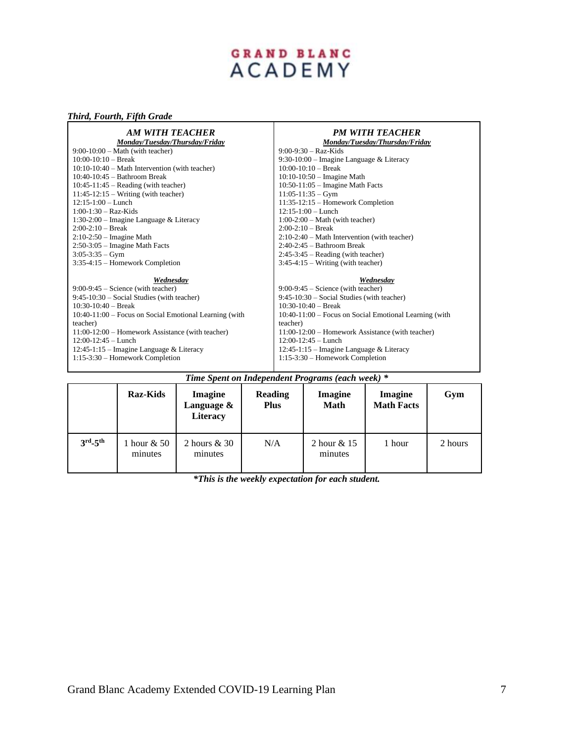# GRAND BLANC<br>ACADEMY

#### *Third, Fourth, Fifth Grade*

| AM WITH TEACHER<br>Monday/Tuesday/Thursday/Friday        | <b>PM WITH TEACHER</b><br>Monday/Tuesday/Thursday/Friday |
|----------------------------------------------------------|----------------------------------------------------------|
| $9:00-10:00$ – Math (with teacher)                       | $9:00-9:30-Raz-Kids$                                     |
| $10:00-10:10$ - Break                                    | $9:30-10:00$ – Imagine Language & Literacy               |
| $10:10-10:40$ – Math Intervention (with teacher)         | $10:00-10:10$ – Break                                    |
| $10:40-10:45$ - Bathroom Break                           | $10:10-10:50$ – Imagine Math                             |
| $10:45-11:45$ – Reading (with teacher)                   | $10:50-11:05$ – Imagine Math Facts                       |
| $11:45-12:15$ – Writing (with teacher)                   | $11:05-11:35 - Gym$                                      |
| $12:15-1:00$ - Lunch                                     | $11:35-12:15$ – Homework Completion                      |
| $1:00-1:30$ – Raz-Kids                                   | $12:15-1:00$ – Lunch                                     |
| 1:30-2:00 – Imagine Language & Literacy                  | $1:00-2:00$ – Math (with teacher)                        |
| $2:00-2:10$ – Break                                      | $2:00-2:10$ – Break                                      |
| $2:10-2:50$ – Imagine Math                               | $2:10-2:40$ – Math Intervention (with teacher)           |
| $2:50-3:05$ – Imagine Math Facts                         | $2:40-2:45$ - Bathroom Break                             |
| $3:05-3:35 - Gym$                                        | $2:45-3:45$ – Reading (with teacher)                     |
| $3:35-4:15$ – Homework Completion                        | $3:45-4:15$ – Writing (with teacher)                     |
| Wednesday                                                | Wednesday                                                |
| $9:00-9:45$ – Science (with teacher)                     | $9:00-9:45$ – Science (with teacher)                     |
| $9:45-10:30$ – Social Studies (with teacher)             | $9:45-10:30$ – Social Studies (with teacher)             |
| $10:30-10:40$ – Break                                    | $10:30-10:40$ – Break                                    |
| $10:40-11:00$ – Focus on Social Emotional Learning (with | 10:40-11:00 – Focus on Social Emotional Learning (with   |
| teacher)                                                 | teacher)                                                 |
| $11:00-12:00$ – Homework Assistance (with teacher)       | $11:00-12:00$ – Homework Assistance (with teacher)       |
| $12:00-12:45$ - Lunch                                    | $12:00-12:45$ - Lunch                                    |
| $12:45-1:15$ – Imagine Language & Literacy               | $12:45-1:15$ – Imagine Language & Literacy               |
| 1:15-3:30 - Homework Completion                          | $1:15-3:30$ – Homework Completion                        |

| Time Spent on Independent Programs (each week) * |                           |                                          |                        |                        |                                     |         |  |
|--------------------------------------------------|---------------------------|------------------------------------------|------------------------|------------------------|-------------------------------------|---------|--|
|                                                  | <b>Raz-Kids</b>           | <b>Imagine</b><br>Language &<br>Literacy | Reading<br><b>Plus</b> | Imagine<br><b>Math</b> | <b>Imagine</b><br><b>Math Facts</b> | Gym     |  |
| $3rd - 5th$                                      | l hour $\&$ 50<br>minutes | 2 hours & 30<br>minutes                  | N/A                    | 2 hour & 15<br>minutes | 1 hour                              | 2 hours |  |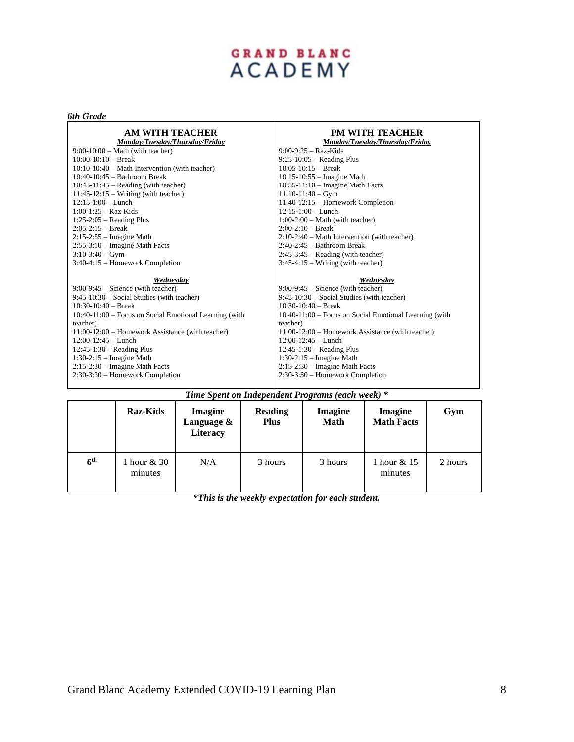# GRAND BLANC<br>ACADEMY

#### *6th Grade*

| AM WITH TEACHER<br>Monday/Tuesday/Thursday/Friday      | <b>PM WITH TEACHER</b><br>Monday/Tuesday/Thursday/Friday |
|--------------------------------------------------------|----------------------------------------------------------|
| $9:00-10:00$ – Math (with teacher)                     | $9:00-9:25 - Raz-Kids$                                   |
| $10:00-10:10$ – Break                                  | $9:25-10:05$ – Reading Plus                              |
| $10:10-10:40$ – Math Intervention (with teacher)       | $10:05-10:15$ – Break                                    |
| $10:40-10:45$ - Bathroom Break                         | $10:15-10:55$ – Imagine Math                             |
| $10:45-11:45$ – Reading (with teacher)                 | $10:55-11:10$ – Imagine Math Facts                       |
| $11:45-12:15$ – Writing (with teacher)                 | $11:10-11:40-Gym$                                        |
| $12:15-1:00$ – Lunch                                   | $11:40-12:15$ – Homework Completion                      |
| $1:00-1:25 - \text{Raz-Kids}$                          | $12:15-1:00$ - Lunch                                     |
| $1:25-2:05$ – Reading Plus                             | $1:00-2:00$ – Math (with teacher)                        |
| $2:05-2:15$ – Break                                    | $2:00-2:10$ – Break                                      |
| $2:15-2:55$ – Imagine Math                             | $2:10-2:40$ – Math Intervention (with teacher)           |
| $2:55-3:10$ – Imagine Math Facts                       | $2:40-2:45$ - Bathroom Break                             |
| $3:10-3:40-Gym$                                        | $2:45-3:45$ – Reading (with teacher)                     |
| 3:40-4:15 - Homework Completion                        | $3:45-4:15$ – Writing (with teacher)                     |
| Wednesday                                              | Wednesday                                                |
| $9:00-9:45$ – Science (with teacher)                   | $9:00-9:45$ – Science (with teacher)                     |
| $9:45-10:30$ – Social Studies (with teacher)           | $9:45-10:30$ – Social Studies (with teacher)             |
| $10:30-10:40$ – Break                                  | $10:30-10:40$ – Break                                    |
| 10:40-11:00 – Focus on Social Emotional Learning (with | 10:40-11:00 – Focus on Social Emotional Learning (with   |
| teacher)                                               | teacher)                                                 |
| 11:00-12:00 – Homework Assistance (with teacher)       | 11:00-12:00 – Homework Assistance (with teacher)         |
| $12:00-12:45$ - Lunch                                  | $12:00-12:45$ - Lunch                                    |
| $12:45-1:30$ – Reading Plus                            | $12:45-1:30$ – Reading Plus                              |
| $1:30-2:15$ – Imagine Math                             | $1:30-2:15$ – Imagine Math                               |
| $2:15-2:30$ – Imagine Math Facts                       | $2:15-2:30$ – Imagine Math Facts                         |
| 2:30-3:30 – Homework Completion                        | 2:30-3:30 - Homework Completion                          |
|                                                        |                                                          |

|                 | <b>Raz-Kids</b>        | <b>Imagine</b><br>Language &<br><b>Literacy</b> | Reading<br><b>Plus</b> | Imagine<br><b>Math</b> | <b>Imagine</b><br><b>Math Facts</b> | Gym     |
|-----------------|------------------------|-------------------------------------------------|------------------------|------------------------|-------------------------------------|---------|
| 6 <sup>th</sup> | 1 hour & 30<br>minutes | N/A                                             | 3 hours                | 3 hours                | 1 hour & 15<br>minutes              | 2 hours |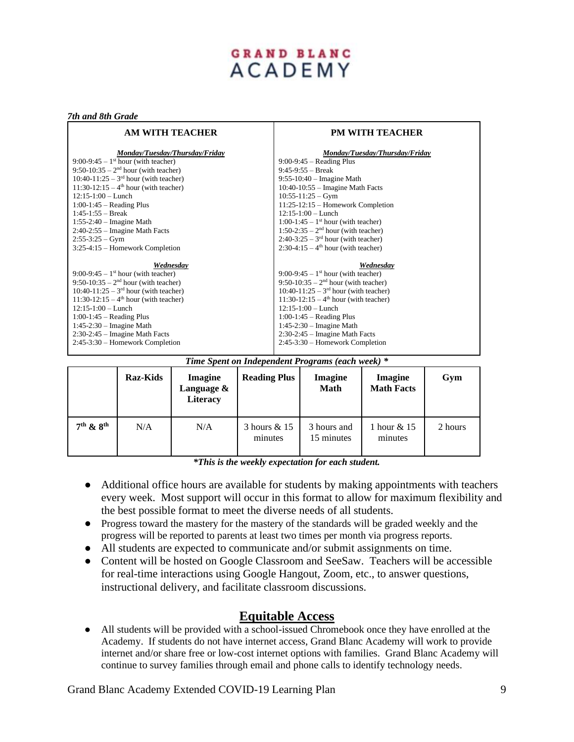#### *7th and 8th Grade*

| AM WITH TEACHER                                   | <b>PM WITH TEACHER</b>                            |  |  |  |
|---------------------------------------------------|---------------------------------------------------|--|--|--|
| Monday/Tuesday/Thursday/Friday                    | Monday/Tuesday/Thursday/Friday                    |  |  |  |
| $9:00-9:45-1$ <sup>st</sup> hour (with teacher)   | $9:00-9:45$ – Reading Plus                        |  |  |  |
| $9:50-10:35-2^{nd}$ hour (with teacher)           | $9:45-9:55 - Break$                               |  |  |  |
| 10:40-11:25 – $3rd$ hour (with teacher)           | $9:55-10:40$ – Imagine Math                       |  |  |  |
| 11:30-12:15 – $4^{\text{th}}$ hour (with teacher) | $10:40-10:55$ – Imagine Math Facts                |  |  |  |
| $12:15-1:00$ - Lunch                              | $10:55-11:25 - Gym$                               |  |  |  |
| $1:00-1:45$ – Reading Plus                        | $11:25-12:15$ – Homework Completion               |  |  |  |
| $1:45-1:55$ - Break                               | $12:15-1:00$ – Lunch                              |  |  |  |
| $1:55-2:40$ – Imagine Math                        | 1:00-1:45 – 1 <sup>st</sup> hour (with teacher)   |  |  |  |
| $2:40-2:55$ – Imagine Math Facts                  | 1:50-2:35 – $2nd$ hour (with teacher)             |  |  |  |
| $2:55-3:25-Gym$                                   | $2:40-3:25-3rd$ hour (with teacher)               |  |  |  |
| 3:25-4:15 – Homework Completion                   | $2:30-4:15-4th$ hour (with teacher)               |  |  |  |
| Wednesday                                         | Wednesday                                         |  |  |  |
| $9:00-9:45-1$ <sup>st</sup> hour (with teacher)   | 9:00-9:45 – $1st$ hour (with teacher)             |  |  |  |
| $9:50-10:35-2nd$ hour (with teacher)              | $9:50-10:35-2nd$ hour (with teacher)              |  |  |  |
| 10:40-11:25 – $3rd$ hour (with teacher)           | 10:40-11:25 – $3rd$ hour (with teacher)           |  |  |  |
| 11:30-12:15 – $4^{\text{th}}$ hour (with teacher) | 11:30-12:15 – $4^{\text{th}}$ hour (with teacher) |  |  |  |
| $12:15-1:00$ - Lunch                              | $12:15-1:00$ – Lunch                              |  |  |  |
| $1:00-1:45$ – Reading Plus                        | $1:00-1:45$ – Reading Plus                        |  |  |  |
| $1:45-2:30$ – Imagine Math                        | $1:45-2:30$ – Imagine Math                        |  |  |  |
| $2:30-2:45$ – Imagine Math Facts                  | $2:30-2:45$ – Imagine Math Facts                  |  |  |  |
| 2:45-3:30 – Homework Completion                   | 2:45-3:30 – Homework Completion                   |  |  |  |

#### *Time Spent on Independent Programs (each week) \**

|               | <b>Raz-Kids</b> | Imagine<br>Language &<br><b>Literacy</b> | <b>Reading Plus</b>       | Imagine<br><b>Math</b>    | <b>Imagine</b><br><b>Math Facts</b> | Gym     |
|---------------|-----------------|------------------------------------------|---------------------------|---------------------------|-------------------------------------|---------|
| $7th$ & $8th$ | N/A             | N/A                                      | 3 hours $& 15$<br>minutes | 3 hours and<br>15 minutes | 1 hour & 15<br>minutes              | 2 hours |

*\*This is the weekly expectation for each student.*

- Additional office hours are available for students by making appointments with teachers every week. Most support will occur in this format to allow for maximum flexibility and the best possible format to meet the diverse needs of all students.
- Progress toward the mastery for the mastery of the standards will be graded weekly and the progress will be reported to parents at least two times per month via progress reports.
- All students are expected to communicate and/or submit assignments on time.
- Content will be hosted on Google Classroom and SeeSaw. Teachers will be accessible for real-time interactions using Google Hangout, Zoom, etc., to answer questions, instructional delivery, and facilitate classroom discussions.

### **Equitable Access**

● All students will be provided with a school-issued Chromebook once they have enrolled at the Academy. If students do not have internet access, Grand Blanc Academy will work to provide internet and/or share free or low-cost internet options with families. Grand Blanc Academy will continue to survey families through email and phone calls to identify technology needs.